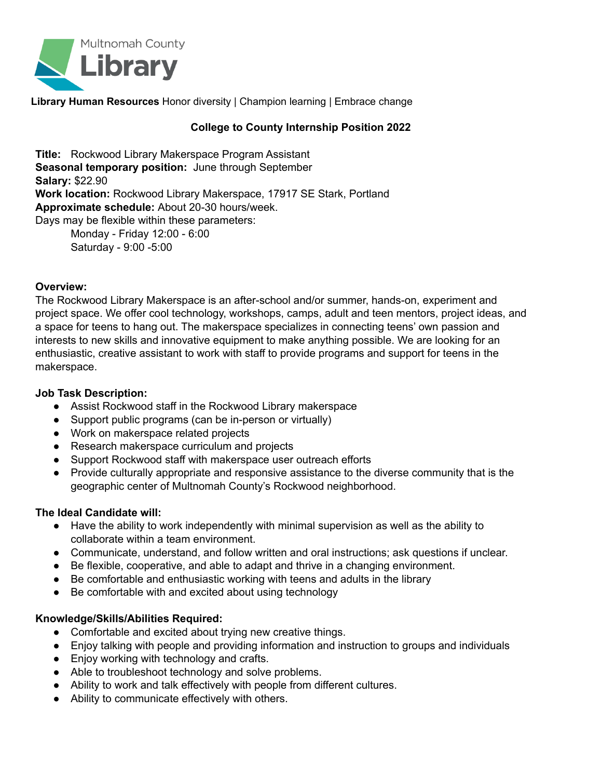

**Library Human Resources** Honor diversity | Champion learning | Embrace change

# **College to County Internship Position 2022**

**Title:** Rockwood Library Makerspace Program Assistant **Seasonal temporary position:** June through September **Salary:** \$22.90 **Work location:** Rockwood Library Makerspace, 17917 SE Stark, Portland **Approximate schedule:** About 20-30 hours/week. Days may be flexible within these parameters:

Monday - Friday 12:00 - 6:00 Saturday - 9:00 -5:00

#### **Overview:**

The Rockwood Library Makerspace is an after-school and/or summer, hands-on, experiment and project space. We offer cool technology, workshops, camps, adult and teen mentors, project ideas, and a space for teens to hang out. The makerspace specializes in connecting teens' own passion and interests to new skills and innovative equipment to make anything possible. We are looking for an enthusiastic, creative assistant to work with staff to provide programs and support for teens in the makerspace.

#### **Job Task Description:**

- Assist Rockwood staff in the Rockwood Library makerspace
- Support public programs (can be in-person or virtually)
- Work on makerspace related projects
- Research makerspace curriculum and projects
- Support Rockwood staff with makerspace user outreach efforts
- **●** Provide culturally appropriate and responsive assistance to the diverse community that is the geographic center of Multnomah County's Rockwood neighborhood.

## **The Ideal Candidate will:**

- Have the ability to work independently with minimal supervision as well as the ability to collaborate within a team environment.
- Communicate, understand, and follow written and oral instructions; ask questions if unclear.
- Be flexible, cooperative, and able to adapt and thrive in a changing environment.
- Be comfortable and enthusiastic working with teens and adults in the library
- Be comfortable with and excited about using technology

## **Knowledge/Skills/Abilities Required:**

- Comfortable and excited about trying new creative things.
- Enjoy talking with people and providing information and instruction to groups and individuals
- Enjoy working with technology and crafts.
- Able to troubleshoot technology and solve problems.
- Ability to work and talk effectively with people from different cultures.
- Ability to communicate effectively with others.